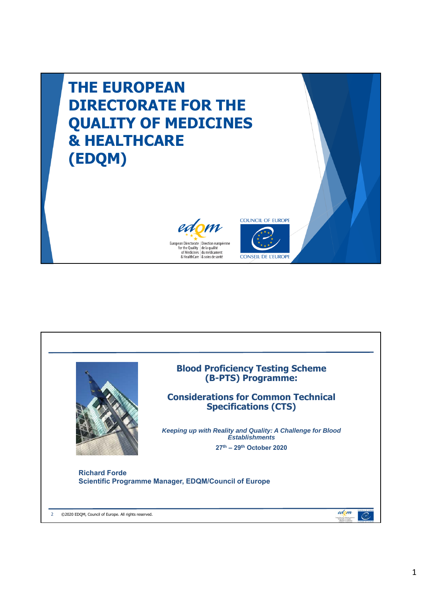

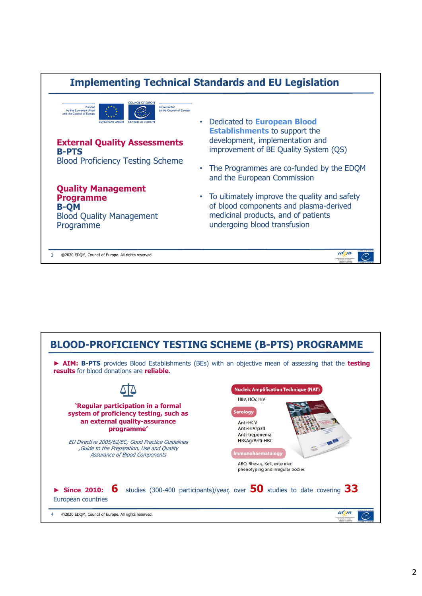

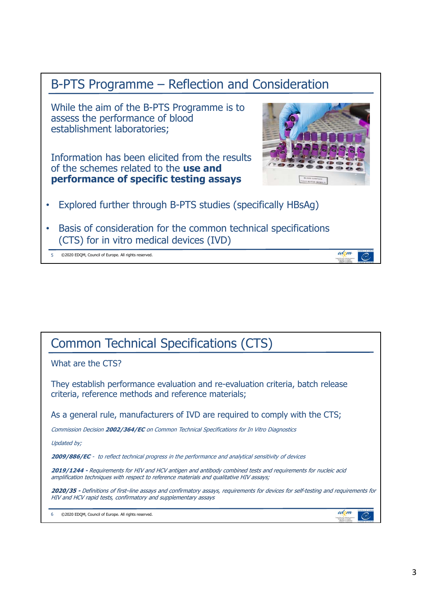

5 ©2020 EDQM, Council of Europe. All rights reserved.

## Common Technical Specifications (CTS)

What are the CTS?

They establish performance evaluation and re-evaluation criteria, batch release criteria, reference methods and reference materials;

As a general rule, manufacturers of IVD are required to comply with the CTS;

Commission Decision **2002/364/EC** on Common Technical Specifications for In Vitro Diagnostics

Updated by;

**2009/886/EC** - to reflect technical progress in the performance and analytical sensitivity of devices

**2019/1244 -** Requirements for HIV and HCV antigen and antibody combined tests and requirements for nucleic acid amplification techniques with respect to reference materials and qualitative HIV assays;

**2020/35 -** Definitions of first–line assays and confirmatory assays, requirements for devices for self-testing and requirements for HIV and HCV rapid tests, confirmatory and supplementary assays

6 ©2020 EDQM, Council of Europe. All rights reserved.

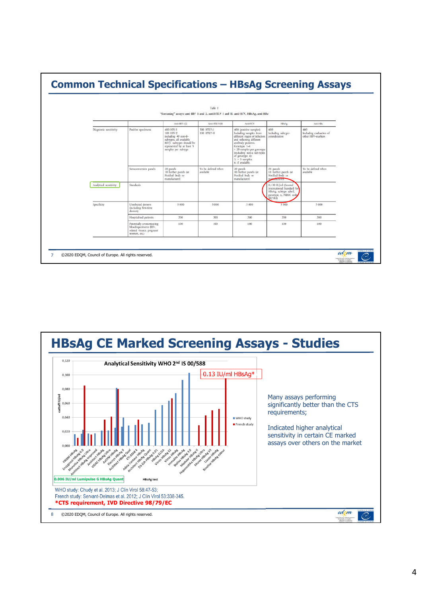

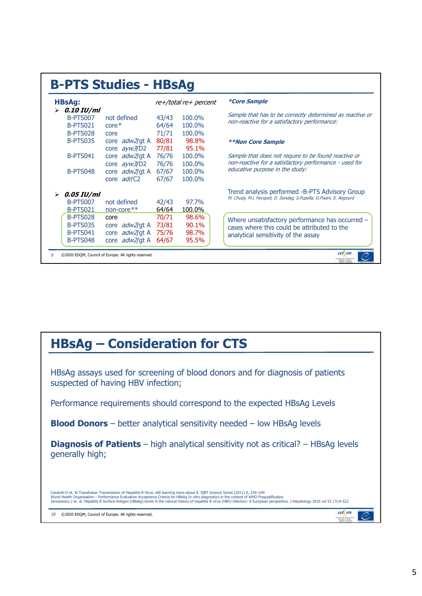| <b>B-PTS Studies - HBsAg</b>                                                  |                                                                            |                                  |                                  |                                                                                                                                       |  |
|-------------------------------------------------------------------------------|----------------------------------------------------------------------------|----------------------------------|----------------------------------|---------------------------------------------------------------------------------------------------------------------------------------|--|
| <b>HBsAg:</b>                                                                 |                                                                            |                                  | re+/total re+ percent            | <i><b>*Core Sample</b></i>                                                                                                            |  |
| $\triangleright$ 0.10 IU/ml<br><b>B-PTS007</b><br>B-PTS021<br><b>B-PTS028</b> | not defined<br>$core*$<br>core                                             | 43/43<br>64/64<br>71/71          | 100.0%<br>100.0%<br>100.0%       | Sample that has to be correctly determined as reactive or<br>non-reactive for a satisfactory performance:                             |  |
| <b>B-PTS035</b>                                                               | core adw2/gt A<br>core ayw3/D2                                             | 80/81<br>77/81                   | 98.8%<br>95.1%                   | <i><b>**Non Core Sample</b></i>                                                                                                       |  |
| B-PTS041                                                                      | core adw2/qt A<br>core ayw3/D2                                             | 76/76<br>76/76                   | 100.0%<br>100.0%                 | Sample that does not require to be found reactive or<br>non-reactive for a satisfactory performance - used for                        |  |
| B-PTS048                                                                      | core adw2/gt A<br>core adr/C2                                              | 67/67<br>67/67                   | 100.0%<br>100.0%                 | educative purpose in the study:                                                                                                       |  |
| $\triangleright$ 0.05 IU/ml<br><b>B-PTS007</b><br><b>B-PTS021</b>             | not defined<br>non-core**                                                  | 42/43<br>64/64                   | 97.7%<br>100.0%                  | Trend analysis performed -B-PTS Advisory Group<br>M. Chudy, M.L Hecquet, D. Sondag, S.Pupella, G.Pisani, E. Regourd                   |  |
| <b>B-PTS028</b><br><b>B-PTS035</b><br><b>B-PTS041</b><br>B-PTS048             | core<br>core <i>adw2</i> /gt A<br>core adw2/gt A<br>core <i>adw2</i> /gt A | 70/71<br>73/81<br>75/76<br>64/67 | 98.6%<br>90.1%<br>98.7%<br>95.5% | Where unsatisfactory performance has occurred -<br>cases where this could be attributed to the<br>analytical sensitivity of the assay |  |
|                                                                               | ©2020 EDOM, Council of Europe. All rights reserved.                        |                                  |                                  | edom                                                                                                                                  |  |

## **HBsAg – Consideration for CTS**

HBsAg assays used for screening of blood donors and for diagnosis of patients suspected of having HBV infection;

Performance requirements should correspond to the expected HBsAg Levels

**Blood Donors** – better analytical sensitivity needed – low HBsAg levels

**Diagnosis of Patients** – high analytical sensitivity not as critical? – HBsAg levels generally high;

Candotti D et. Al Transfusion Transmission of Hepatitis B Virus: still learning more about it. ISBT Science Series (2011) 6, 234–240<br>World Health Organisation – Performance Evaluation Acceptance Criteria for HBsAg In vitro

10 ©2020 EDQM, Council of Europe. All rights reserved.

edom

pundienboute (Ber<br>for the Duelty | de

 $\mathcal{O}$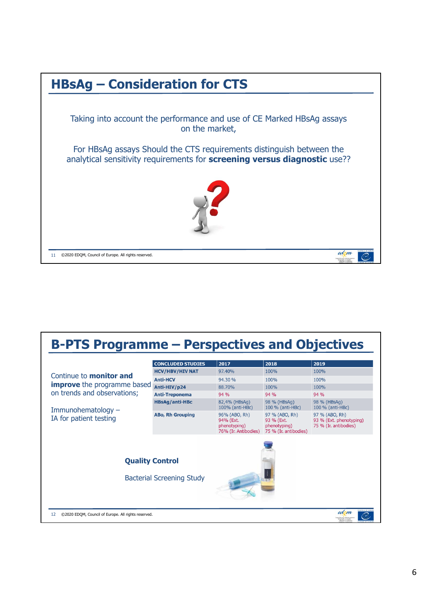

## **B-PTS Programme – Perspectives and Objectives**

|                                                           | <b>CONCLUDED STUDIES</b>         | 2017                                                               | 2018                                                                  | 2019                                                               |
|-----------------------------------------------------------|----------------------------------|--------------------------------------------------------------------|-----------------------------------------------------------------------|--------------------------------------------------------------------|
|                                                           | <b>HCV/HBV/HIV NAT</b>           | 97.40%                                                             | 100%                                                                  | 100%                                                               |
| Continue to <b>monitor and</b>                            | <b>Anti-HCV</b>                  | 94.30 %                                                            | 100%                                                                  | 100%                                                               |
| <b>improve</b> the programme based                        | Anti-HIV/p24                     | 88.70%                                                             | 100%                                                                  | 100%                                                               |
| on trends and observations;                               | <b>Anti-Treponema</b>            | 94 %                                                               | 94 %                                                                  | 94 %                                                               |
| Immunohematology $-$                                      | <b>HBsAg/anti-HBc</b>            | 82,4% (HBsAg)<br>100% (anti-HBc)                                   | 98 % (HBsAg)<br>100 % (anti-HBc)                                      | 98 % (HBsAg)<br>100 % (anti-HBc)                                   |
| IA for patient testing                                    | <b>ABo, Rh Grouping</b>          | 96% (ABO, Rh)<br>94% (Ext.<br>phenotyping)<br>76% (Ir. Antibodies) | 97 % (ABO, Rh)<br>93 % (Ext.<br>phenotyping)<br>75 % (Ir. antibodies) | 97 % (ABO, Rh)<br>93 % (Ext. phenotyping)<br>75 % (Ir. antibodies) |
| <b>Quality Control</b>                                    | <b>Bacterial Screening Study</b> |                                                                    |                                                                       |                                                                    |
| 12<br>©2020 EDQM, Council of Europe. All rights reserved. |                                  |                                                                    |                                                                       | <b>HINGH CR HAW</b><br>edom<br>or the Dunling on broughts          |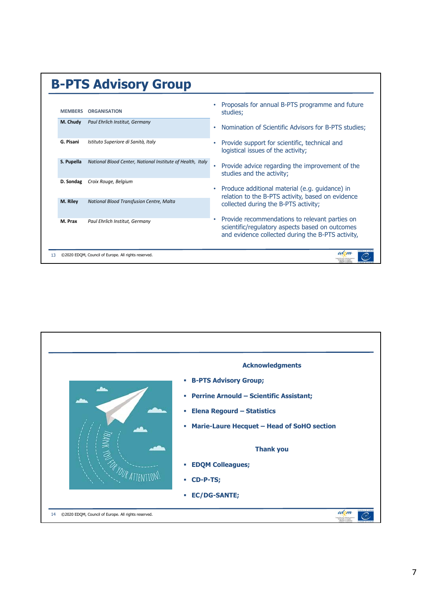| <b>MEMBERS</b> | <b>ORGANISATION</b>                                        | Proposals for annual B-PTS programme and future<br>studies;                                                                                            |
|----------------|------------------------------------------------------------|--------------------------------------------------------------------------------------------------------------------------------------------------------|
| M. Chudy       | Paul Ehrlich Institut, Germany                             | Nomination of Scientific Advisors for B-PTS studies;                                                                                                   |
| G. Pisani      | Istituto Superiore di Sanità, Italy                        | Provide support for scientific, technical and<br>logistical issues of the activity;                                                                    |
| S. Pupella     | National Blood Center, National Institute of Health, Italy | Provide advice regarding the improvement of the<br>studies and the activity;                                                                           |
| D. Sondag      | Croix Rouge, Belgium                                       | Produce additional material (e.g. guidance) in<br>relation to the B-PTS activity, based on evidence                                                    |
| M. Riley       | National Blood Transfusion Centre, Malta                   | collected during the B-PTS activity;                                                                                                                   |
| M. Prax        | Paul Ehrlich Institut, Germany                             | Provide recommendations to relevant parties on<br>scientific/regulatory aspects based on outcomes<br>and evidence collected during the B-PTS activity, |